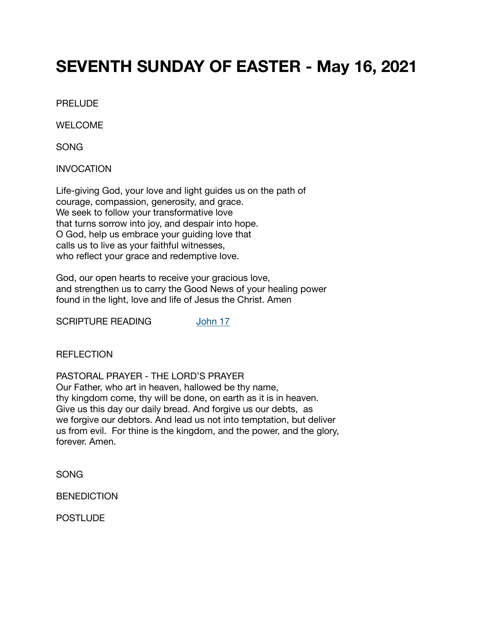# **SEVENTH SUNDAY OF EASTER - May 16, 2021**

PRELUDE

WELCOME

SONG

INVOCATION

Life-giving God, your love and light guides us on the path of courage, compassion, generosity, and grace. We seek to follow your transformative love that turns sorrow into joy, and despair into hope. O God, help us embrace your guiding love that calls us to live as your faithful witnesses, who reflect your grace and redemptive love.

God, our open hearts to receive your gracious love, and strengthen us to carry the Good News of your healing power found in the light, love and life of Jesus the Christ. Amen

SCRIPTURE READING **SCRIPTURE** READING

**REFLECTION** 

PASTORAL PRAYER - THE LORD'S PRAYER Our Father, who art in heaven, hallowed be thy name, thy kingdom come, thy will be done, on earth as it is in heaven. Give us this day our daily bread. And forgive us our debts, as we forgive our debtors. And lead us not into temptation, but deliver us from evil. For thine is the kingdom, and the power, and the glory, forever. Amen.

SONG 

**BENEDICTION** 

POSTLUDE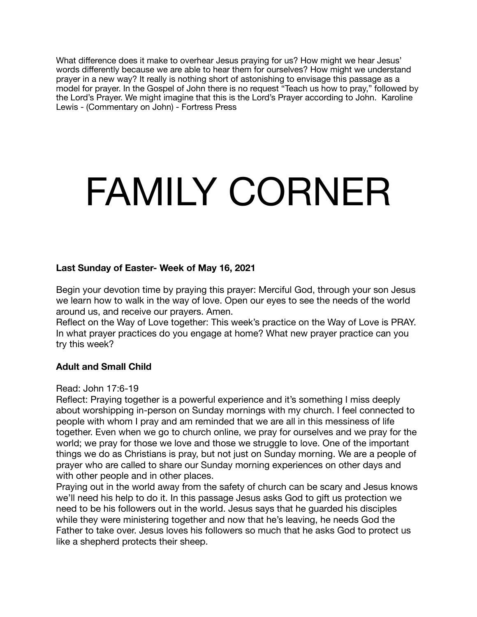What difference does it make to overhear Jesus praying for us? How might we hear Jesus' words differently because we are able to hear them for ourselves? How might we understand prayer in a new way? It really is nothing short of astonishing to envisage this passage as a model for prayer. In the Gospel of John there is no request "Teach us how to pray," followed by the Lord's Prayer. We might imagine that this is the Lord's Prayer according to John. Karoline Lewis - (Commentary on John) - Fortress Press

# FAMILY CORNER

# **Last Sunday of Easter- Week of May 16, 2021**

Begin your devotion time by praying this prayer: Merciful God, through your son Jesus we learn how to walk in the way of love. Open our eyes to see the needs of the world around us, and receive our prayers. Amen.

Reflect on the Way of Love together: This week's practice on the Way of Love is PRAY. In what prayer practices do you engage at home? What new prayer practice can you try this week?

# **Adult and Small Child**

# Read: John 17:6-19

Reflect: Praying together is a powerful experience and it's something I miss deeply about worshipping in-person on Sunday mornings with my church. I feel connected to people with whom I pray and am reminded that we are all in this messiness of life together. Even when we go to church online, we pray for ourselves and we pray for the world; we pray for those we love and those we struggle to love. One of the important things we do as Christians is pray, but not just on Sunday morning. We are a people of prayer who are called to share our Sunday morning experiences on other days and with other people and in other places.

Praying out in the world away from the safety of church can be scary and Jesus knows we'll need his help to do it. In this passage Jesus asks God to gift us protection we need to be his followers out in the world. Jesus says that he guarded his disciples while they were ministering together and now that he's leaving, he needs God the Father to take over. Jesus loves his followers so much that he asks God to protect us like a shepherd protects their sheep.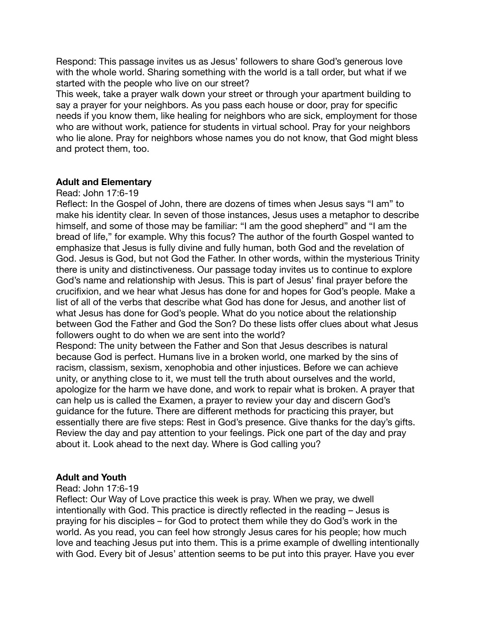Respond: This passage invites us as Jesus' followers to share God's generous love with the whole world. Sharing something with the world is a tall order, but what if we started with the people who live on our street?

This week, take a prayer walk down your street or through your apartment building to say a prayer for your neighbors. As you pass each house or door, pray for specific needs if you know them, like healing for neighbors who are sick, employment for those who are without work, patience for students in virtual school. Pray for your neighbors who lie alone. Pray for neighbors whose names you do not know, that God might bless and protect them, too.

# **Adult and Elementary**

# Read: John 17:6-19

Reflect: In the Gospel of John, there are dozens of times when Jesus says "I am" to make his identity clear. In seven of those instances, Jesus uses a metaphor to describe himself, and some of those may be familiar: "I am the good shepherd" and "I am the bread of life," for example. Why this focus? The author of the fourth Gospel wanted to emphasize that Jesus is fully divine and fully human, both God and the revelation of God. Jesus is God, but not God the Father. In other words, within the mysterious Trinity there is unity and distinctiveness. Our passage today invites us to continue to explore God's name and relationship with Jesus. This is part of Jesus' final prayer before the crucifixion, and we hear what Jesus has done for and hopes for God's people. Make a list of all of the verbs that describe what God has done for Jesus, and another list of what Jesus has done for God's people. What do you notice about the relationship between God the Father and God the Son? Do these lists offer clues about what Jesus followers ought to do when we are sent into the world?

Respond: The unity between the Father and Son that Jesus describes is natural because God is perfect. Humans live in a broken world, one marked by the sins of racism, classism, sexism, xenophobia and other injustices. Before we can achieve unity, or anything close to it, we must tell the truth about ourselves and the world, apologize for the harm we have done, and work to repair what is broken. A prayer that can help us is called the Examen, a prayer to review your day and discern God's guidance for the future. There are different methods for practicing this prayer, but essentially there are five steps: Rest in God's presence. Give thanks for the day's gifts. Review the day and pay attention to your feelings. Pick one part of the day and pray about it. Look ahead to the next day. Where is God calling you?

# **Adult and Youth**

# Read: John 17:6-19

Reflect: Our Way of Love practice this week is pray. When we pray, we dwell intentionally with God. This practice is directly reflected in the reading – Jesus is praying for his disciples – for God to protect them while they do God's work in the world. As you read, you can feel how strongly Jesus cares for his people; how much love and teaching Jesus put into them. This is a prime example of dwelling intentionally with God. Every bit of Jesus' attention seems to be put into this prayer. Have you ever